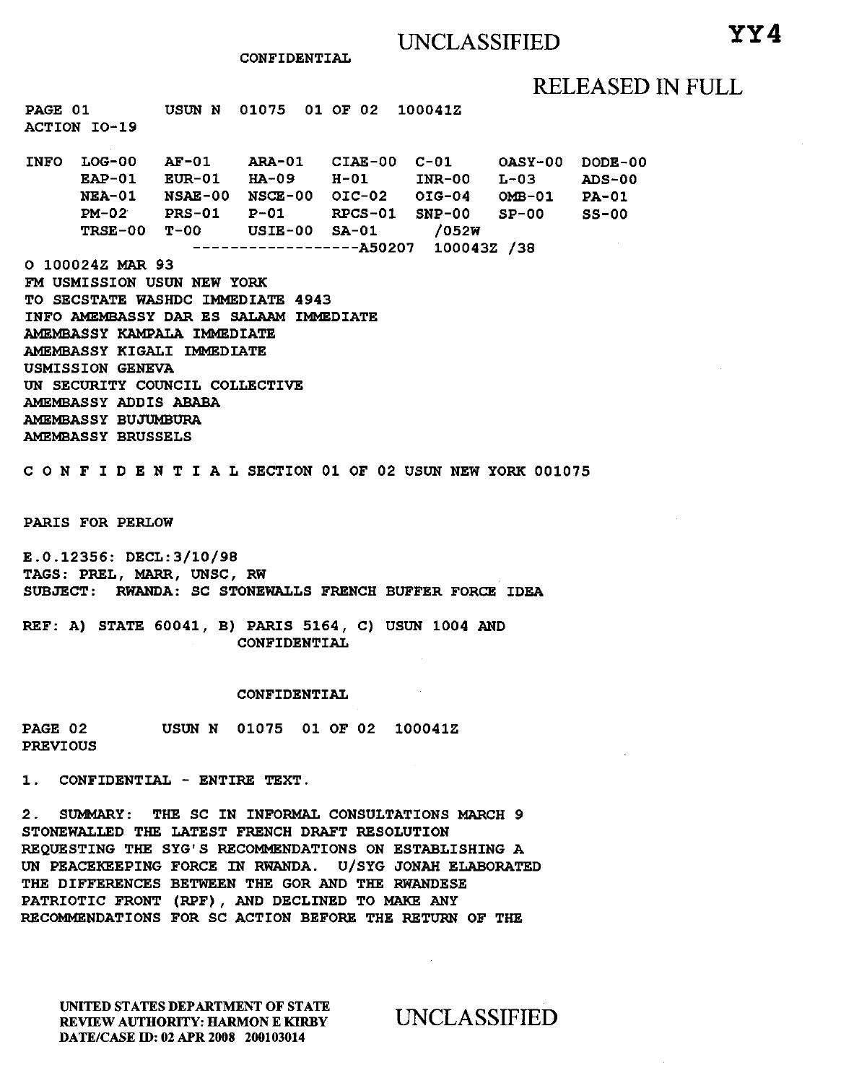## **CONFIDENTIAL**

RELEASED IN FULL

**PAGE 01 USUN N 01075 01 OF 02 100041Z ACTION 10-19** 

**INFO LOG-00 AF-01 ARA-01 CIAE-00 C-01 OASY-00 DODE-00 EAP-01 EUR-01 HA-09 H-01 INR-00 L-03 ADS-00 NEA-01 NSAE-00 NSCE-00 01C-02 01G-04 OMB-01 PA-01 PM-02 PRS-01 P-01 RPCS-01 SNP-00 SP-00 SS-00 TRSE-00 T-00 USIE-00 SA-01 /052W** 

**A50207 100043Z /38** 

**0 100024Z MAR 93** 

**FM USMISSION USUN NEW YORK** 

**TO SECSTATE WASHDC IMMEDIATE 4943 INFO AMEMBASSY DAR ES SALAAM IMMEDIATE AMEMBASSY KAMPALA IMMEDIATE AMEMBASSY KIGALI IMMEDIATE USMISSION GENEVA UN SECURITY COUNCIL COLLECTIVE AMEMBASSY ADDIS ABABA AMEMBASSY BUJUMBURA AMEMBASSY BRUSSELS** 

**C ONFIDENTIALSECTION 01 OF 02 USUN NEW YORK 001075** 

**PARIS FOR PERLOW** 

**E.0.12356: DECL:3/10/98 TAGS: PREL, MARR, UNSC, RW SUBJECT: RWANDA: SC STONEWALLS FRENCH BUFFER FORCE IDEA** 

**REF: A) STATE 60041, B) PARIS 5164, C) USUN 1004 AND CONFIDENTIAL** 

#### **CONFIDENTIAL**

**PAGE 02 USUN N 01075 01 OF 02 100041Z PREVIOUS** 

**1. CONFIDENTIAL - ENTIRE TEXT.** 

**2. SUMMARY: THE SC IN INFORMAL CONSULTATIONS MARCH 9 STONEWALLED THE LATEST FRENCH DRAFT RESOLUTION REQUESTING THE SYG'S RECOMMENDATIONS ON ESTABLISHING A UN PEACEKEEPING FORCE** IN **RWANDA.** U/SYG **JONAH ELABORATED THE DIFFERENCES BETWEEN THE GOR AND THE RWANDESE PATRIOTIC FRONT (RPF), AND DECLINED TO MAKE ANY RECOMMENDATIONS FOR SC ACTION BEFORE THE RETURN OF THE** 

**UNITED STATES DEPARTMENT OF STATE REVIEW AUTHORITY: HARMON E KIRBY DATE/CASE ID: 02 APR 2008 200103014** 

UNCLASSIFIED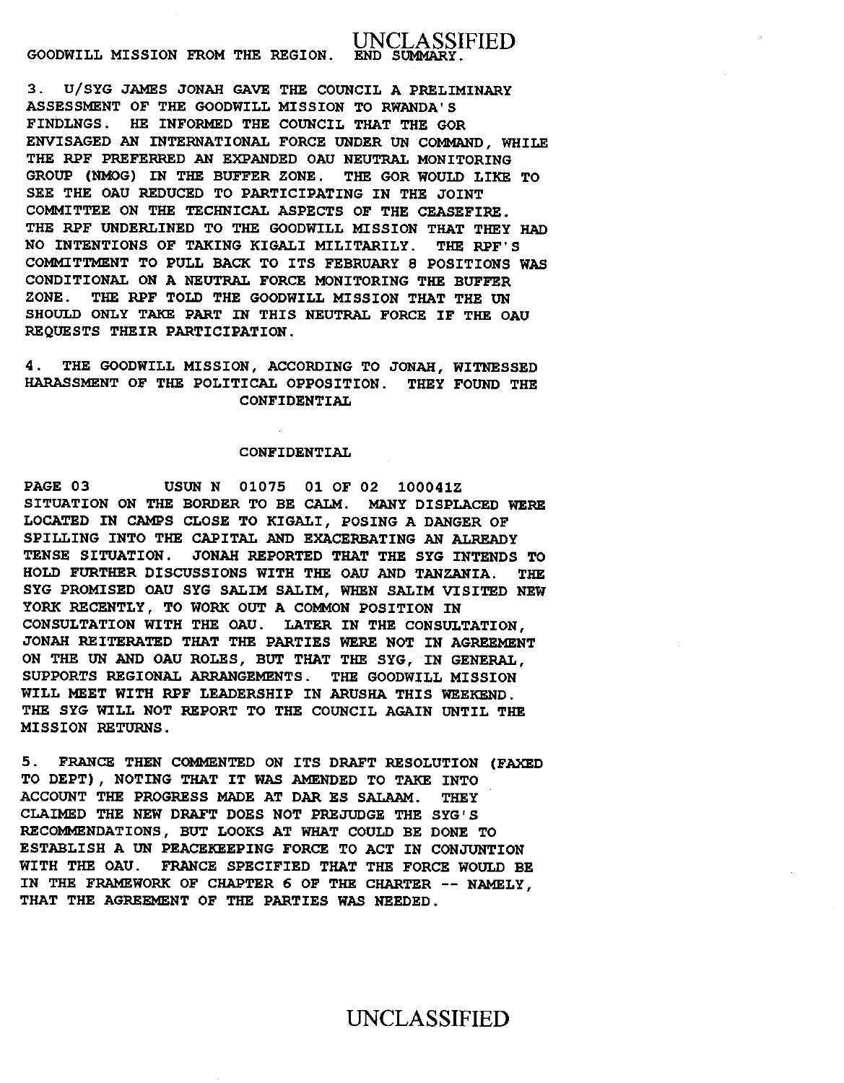## **GOODWILL MISSION FROM THE REGION.**

UNCLASSIFIED

**3. U/SYG** JAMES **JONAH GAVE THE COUNCIL A PRELIMINARY ASSESSMENT OF THE GOODWILL MISSION TO RWANDA'S FINDLNGS. HE INFORMED THE COUNCIL THAT THE GOR ENVISAGED AN INTERNATIONAL FORCE UNDER UN COMMAND, WHILE THE RPF PREFERRED AN EXPANDED OAU NEUTRAL MONITORING GROUP (NMOG) IN THE BUFFER ZONE. THE GOR WOULD LIKE TO SEE THE OAU REDUCED TO PARTICIPATING IN THE JOINT COMMITTEE ON THE TECHNICAL ASPECTS OF THE CEASEFIRE. THE RPF UNDERLINED TO THE GOODWILL MISSION THAT THEY HAD NO INTENTIONS OF TAKING KIGALI MILITARILY. THE RPF'S COMMITTMENT TO PULL BACK TO ITS FEBRUARY 8 POSITIONS WAS CONDITIONAL ON A NEUTRAL FORCE MONITORING THE BUFFER ZONE. THE RPF TOLD THE GOODWILL MISSION THAT THE UN SHOULD ONLY TAKE PART IN THIS NEUTRAL FORCE IF THE OAU REQUESTS THEIR PARTICIPATION.** 

**4. THE GOODWILL MISSION, ACCORDING TO JONAH, WITNESSED HARASSMENT OF THE POLITICAL OPPOSITION. THEY FOUND THE CONFIDENTIAL** 

## **CONFIDENTIAL**

**PAGE 03 USUN N 01075 01 OF 02 100041Z SITUATION ON THE BORDER TO BE CALM. MANY DISPLACED WERE LOCATED IN CAMPS CLOSE TO KIGALI, POSING A DANGER OF SPILLING INTO THE CAPITAL AND EXACERBATING AN ALREADY TENSE SITUATION. JONAH REPORTED THAT THE SYG INTENDS TO HOLD FURTHER DISCUSSIONS WITH THE OAU AND TANZANIA. THE SYG PROMISED OAU SYG SALIM SALIM, WHEN SALIM VISITED NEW YORK RECENTLY, TO WORK OUT A COMMON POSITION IN CONSULTATION WITH THE OAU. LATER IN THE CONSULTATION, JONAH REITERATED THAT THE PARTIES WERE NOT IN AGREEMENT ON THE UN AND OAU ROLES, BUT THAT THE SYG, IN GENERAL, SUPPORTS REGIONAL ARRANGEMENTS. THE GOODWILL MISSION WILL MEET WITH RPF LEADERSHIP IN ARUSHA THIS WEEKEND. THE SYG WILL NOT REPORT TO THE COUNCIL AGAIN UNTIL THE MISSION RETURNS.** 

**5. FRANCE THEN COMMENTED ON ITS DRAFT RESOLUTION (FAXED TO DEPT), NOTING THAT IT WAS AMENDED TO TAKE INTO ACCOUNT THE PROGRESS MADE AT DAR ES SALAAM. THEY CLAIMED THE NEW DRAFT DOES NOT PREJUDGE THE SYG'S RECOMMENDATIONS, BUT LOOKS AT WHAT COULD BE DONE TO ESTABLISH A UN PEACEKEEPING FORCE TO ACT IN CONJUNTION WITH THE OAU. FRANCE SPECIFIED THAT THE FORCE WOULD BE IN THE FRAMEWORK OF CHAPTER 6 OF THE CHARTER -- NAMELY, THAT THE AGREEMENT OF THE PARTIES WAS NEEDED.**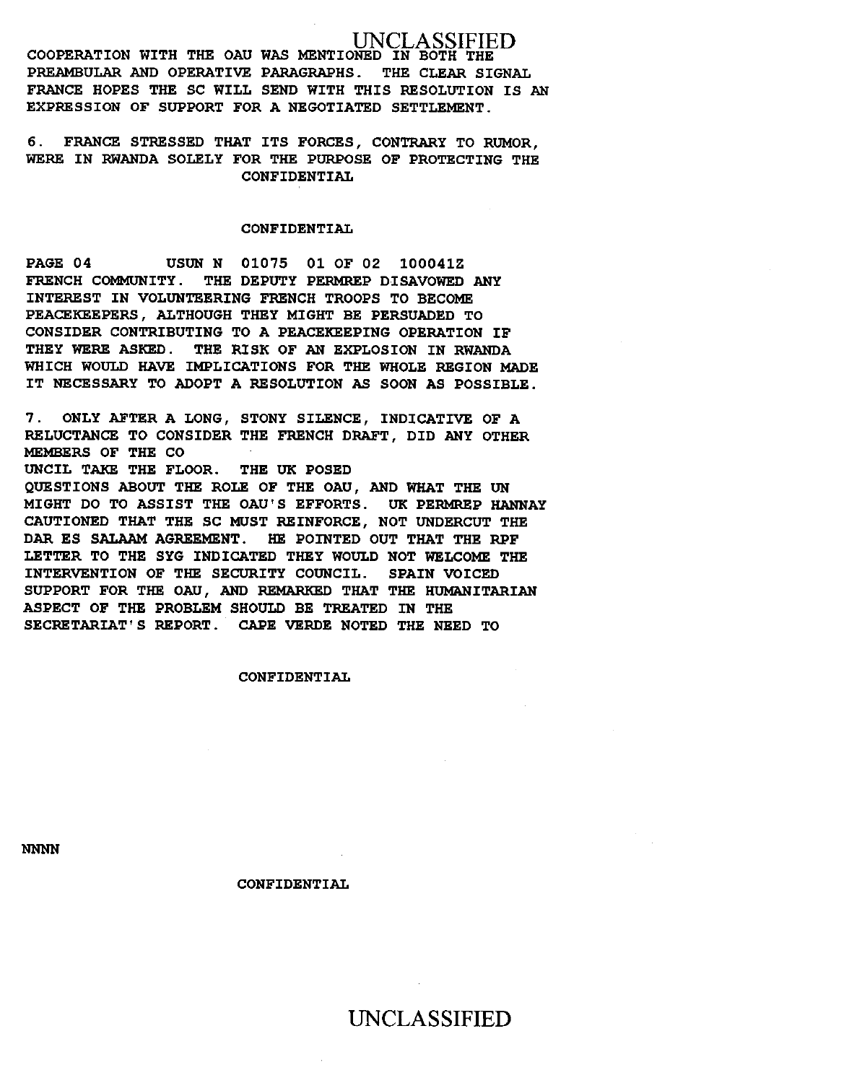# UNCLASSIFIED

**COOPERATION WITH THE OAU WAS MENTIONED IN BOTH THE PREAMBULAR AND OPERATIVE PARAGRAPHS. THE CLEAR SIGNAL FRANCE HOPES THE SC WILL SEND WITH THIS RESOLUTION IS AN EXPRESSION OF SUPPORT FOR A NEGOTIATED SETTLEMENT.** 

**6. FRANCE STRESSED THAT ITS FORCES, CONTRARY TO RUMOR, WERE IN RWANDA SOLELY FOR THE PURPOSE OF PROTECTING THE CONFIDENTIAL** 

## **CONFIDENTIAL**

**PAGE 04 USUN N 01075 01 OF 02 100041Z**<br>FRENCH COMMUNITY. THE DEPUTY PERMREP DISAVOWED THE DEPUTY PERMREP DISAVOWED ANY **INTEREST IN VOLUNTEERING FRENCH TROOPS TO BECOME PEACEKEEPERS, ALTHOUGH THEY MIGHT BE PERSUADED TO CONSIDER CONTRIBUTING TO A PEACEKEEPING OPERATION IF THEY WERE ASKED. THE RISK OF AN EXPLOSION IN RWANDA WHICH WOULD HAVE IMPLICATIONS FOR THE WHOLE REGION MADE IT NECESSARY TO ADOPT A RESOLUTION AS SOON AS POSSIBLE.** 

**7. ONLY AFTER A LONG, STONY SILENCE, INDICATIVE OF A RELUCTANCE TO CONSIDER THE FRENCH DRAFT, DID ANY OTHER MEMBERS OF THE CO UNCIL TAKE THE FLOOR. THE UK POSED QUESTIONS ABOUT THE ROLE OF THE OAU, AND WHAT THE UN MIGHT DO TO ASSIST THE OAU'S EFFORTS. UK PERMREP HANNAY CAUTIONED THAT THE SC MUST REINFORCE, NOT UNDERCUT THE DAR ES SALAAM AGREEMENT. HE POINTED OUT THAT THE RPF LETTER TO THE SYG INDICATED THEY WOULD NOT WELCOME THE INTERVENTION OF THE SECURITY COUNCIL. SPAIN VOICED SUPPORT FOR THE OAU, AND REMARKED THAT THE HUMANITARIAN ASPECT OF THE PROBLEM SHOULD BE TREATED IN THE SECRETARIAT'S REPORT. CAPE VERDE NOTED THE NEED TO** 

## **CONFIDENTIAL**

**NNNN** 

#### **CONFIDENTIAL**

## UNCLASSIFIED